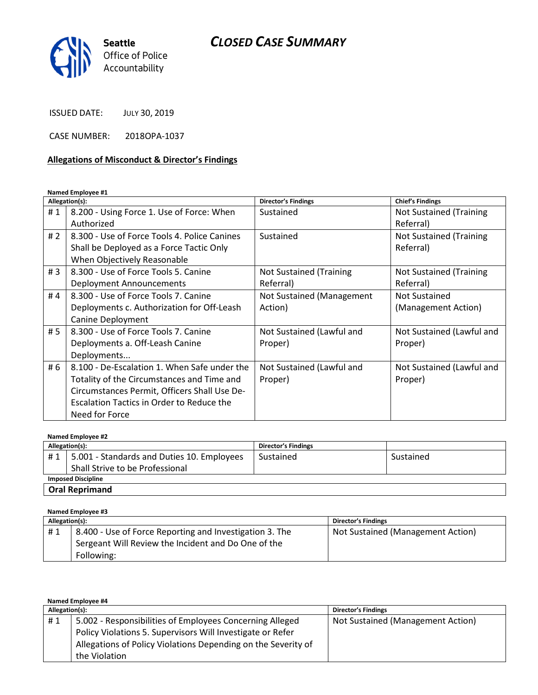

ISSUED DATE: JULY 30, 2019

CASE NUMBER: 2018OPA-1037

## Allegations of Misconduct & Director's Findings

Named Employee #1

|       | Allegation(s):                               | <b>Director's Findings</b>     | <b>Chief's Findings</b>        |
|-------|----------------------------------------------|--------------------------------|--------------------------------|
| #1    | 8.200 - Using Force 1. Use of Force: When    | Sustained                      | <b>Not Sustained (Training</b> |
|       | Authorized                                   |                                | Referral)                      |
| # $2$ | 8.300 - Use of Force Tools 4. Police Canines | Sustained                      | <b>Not Sustained (Training</b> |
|       | Shall be Deployed as a Force Tactic Only     |                                | Referral)                      |
|       | When Objectively Reasonable                  |                                |                                |
| #3    | 8.300 - Use of Force Tools 5. Canine         | <b>Not Sustained (Training</b> | <b>Not Sustained (Training</b> |
|       | Deployment Announcements                     | Referral)                      | Referral)                      |
| #4    | 8.300 - Use of Force Tools 7. Canine         | Not Sustained (Management      | <b>Not Sustained</b>           |
|       | Deployments c. Authorization for Off-Leash   | Action)                        | (Management Action)            |
|       | Canine Deployment                            |                                |                                |
| #5    | 8.300 - Use of Force Tools 7. Canine         | Not Sustained (Lawful and      | Not Sustained (Lawful and      |
|       | Deployments a. Off-Leash Canine              | Proper)                        | Proper)                        |
|       | Deployments                                  |                                |                                |
| # $6$ | 8.100 - De-Escalation 1. When Safe under the | Not Sustained (Lawful and      | Not Sustained (Lawful and      |
|       | Totality of the Circumstances and Time and   | Proper)                        | Proper)                        |
|       | Circumstances Permit, Officers Shall Use De- |                                |                                |
|       | Escalation Tactics in Order to Reduce the    |                                |                                |
|       | Need for Force                               |                                |                                |

| Named Employee #2         |                                            |                            |           |
|---------------------------|--------------------------------------------|----------------------------|-----------|
| Allegation(s):            |                                            | <b>Director's Findings</b> |           |
| #1                        | 5.001 - Standards and Duties 10. Employees | Sustained                  | Sustained |
|                           | Shall Strive to be Professional            |                            |           |
| <b>Imposed Discipline</b> |                                            |                            |           |
| <b>Oral Reprimand</b>     |                                            |                            |           |

Named Employee #3

| Allegation(s): |                                                         | <b>Director's Findings</b>        |
|----------------|---------------------------------------------------------|-----------------------------------|
| #1             | 8.400 - Use of Force Reporting and Investigation 3. The | Not Sustained (Management Action) |
|                | Sergeant Will Review the Incident and Do One of the     |                                   |
|                | Following:                                              |                                   |

| Named Employee #4 |                                                               |                                   |  |
|-------------------|---------------------------------------------------------------|-----------------------------------|--|
| Allegation(s):    |                                                               | <b>Director's Findings</b>        |  |
| #1                | 5.002 - Responsibilities of Employees Concerning Alleged      | Not Sustained (Management Action) |  |
|                   | Policy Violations 5. Supervisors Will Investigate or Refer    |                                   |  |
|                   | Allegations of Policy Violations Depending on the Severity of |                                   |  |
|                   | the Violation                                                 |                                   |  |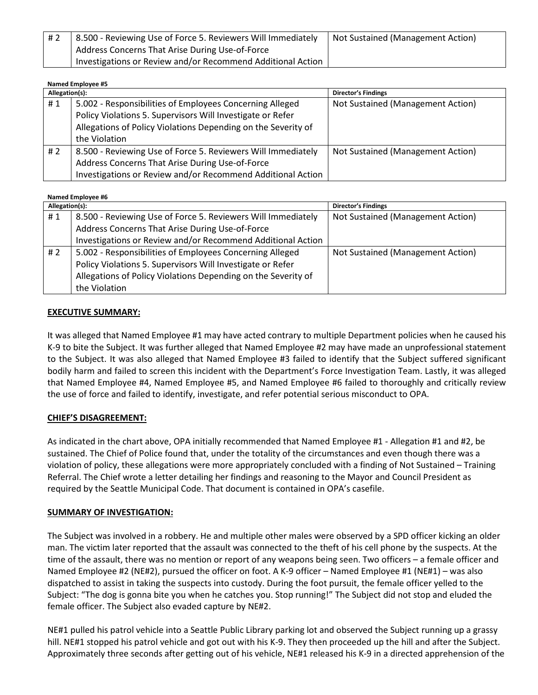| #2 | 8.500 - Reviewing Use of Force 5. Reviewers Will Immediately | Not Sustained (Management Action) |
|----|--------------------------------------------------------------|-----------------------------------|
|    | Address Concerns That Arise During Use-of-Force              |                                   |
|    | Investigations or Review and/or Recommend Additional Action  |                                   |

#### Named Employee #5

| Allegation(s): |                                                               | <b>Director's Findings</b>        |
|----------------|---------------------------------------------------------------|-----------------------------------|
| #1             | 5.002 - Responsibilities of Employees Concerning Alleged      | Not Sustained (Management Action) |
|                | Policy Violations 5. Supervisors Will Investigate or Refer    |                                   |
|                | Allegations of Policy Violations Depending on the Severity of |                                   |
|                | the Violation                                                 |                                   |
| # 2            | 8.500 - Reviewing Use of Force 5. Reviewers Will Immediately  | Not Sustained (Management Action) |
|                | Address Concerns That Arise During Use-of-Force               |                                   |
|                | Investigations or Review and/or Recommend Additional Action   |                                   |

#### Named Employee #6

| Allegation(s): |                                                               | <b>Director's Findings</b>        |
|----------------|---------------------------------------------------------------|-----------------------------------|
| #1             | 8.500 - Reviewing Use of Force 5. Reviewers Will Immediately  | Not Sustained (Management Action) |
|                | Address Concerns That Arise During Use-of-Force               |                                   |
|                | Investigations or Review and/or Recommend Additional Action   |                                   |
| # 2            | 5.002 - Responsibilities of Employees Concerning Alleged      | Not Sustained (Management Action) |
|                | Policy Violations 5. Supervisors Will Investigate or Refer    |                                   |
|                | Allegations of Policy Violations Depending on the Severity of |                                   |
|                | the Violation                                                 |                                   |

#### EXECUTIVE SUMMARY:

It was alleged that Named Employee #1 may have acted contrary to multiple Department policies when he caused his K-9 to bite the Subject. It was further alleged that Named Employee #2 may have made an unprofessional statement to the Subject. It was also alleged that Named Employee #3 failed to identify that the Subject suffered significant bodily harm and failed to screen this incident with the Department's Force Investigation Team. Lastly, it was alleged that Named Employee #4, Named Employee #5, and Named Employee #6 failed to thoroughly and critically review the use of force and failed to identify, investigate, and refer potential serious misconduct to OPA.

### CHIEF'S DISAGREEMENT:

As indicated in the chart above, OPA initially recommended that Named Employee #1 - Allegation #1 and #2, be sustained. The Chief of Police found that, under the totality of the circumstances and even though there was a violation of policy, these allegations were more appropriately concluded with a finding of Not Sustained – Training Referral. The Chief wrote a letter detailing her findings and reasoning to the Mayor and Council President as required by the Seattle Municipal Code. That document is contained in OPA's casefile.

#### SUMMARY OF INVESTIGATION:

The Subject was involved in a robbery. He and multiple other males were observed by a SPD officer kicking an older man. The victim later reported that the assault was connected to the theft of his cell phone by the suspects. At the time of the assault, there was no mention or report of any weapons being seen. Two officers – a female officer and Named Employee #2 (NE#2), pursued the officer on foot. A K-9 officer – Named Employee #1 (NE#1) – was also dispatched to assist in taking the suspects into custody. During the foot pursuit, the female officer yelled to the Subject: "The dog is gonna bite you when he catches you. Stop running!" The Subject did not stop and eluded the female officer. The Subject also evaded capture by NE#2.

NE#1 pulled his patrol vehicle into a Seattle Public Library parking lot and observed the Subject running up a grassy hill. NE#1 stopped his patrol vehicle and got out with his K-9. They then proceeded up the hill and after the Subject. Approximately three seconds after getting out of his vehicle, NE#1 released his K-9 in a directed apprehension of the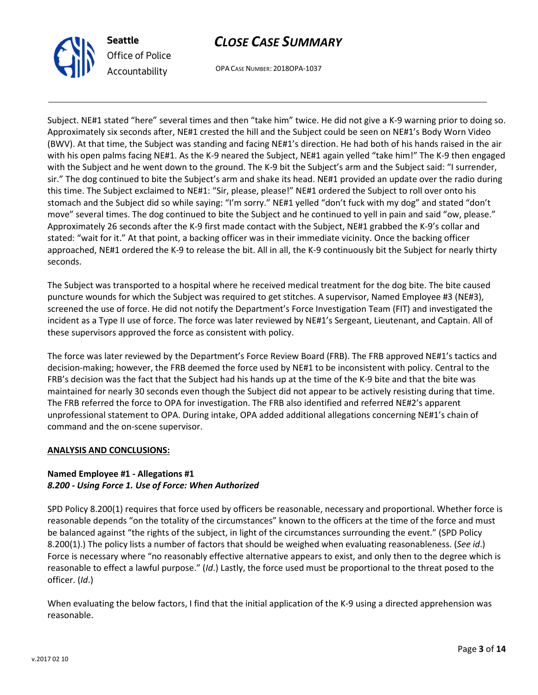

OPA CASE NUMBER: 2018OPA-1037

Subject. NE#1 stated "here" several times and then "take him" twice. He did not give a K-9 warning prior to doing so. Approximately six seconds after, NE#1 crested the hill and the Subject could be seen on NE#1's Body Worn Video (BWV). At that time, the Subject was standing and facing NE#1's direction. He had both of his hands raised in the air with his open palms facing NE#1. As the K-9 neared the Subject, NE#1 again yelled "take him!" The K-9 then engaged with the Subject and he went down to the ground. The K-9 bit the Subject's arm and the Subject said: "I surrender, sir." The dog continued to bite the Subject's arm and shake its head. NE#1 provided an update over the radio during this time. The Subject exclaimed to NE#1: "Sir, please, please!" NE#1 ordered the Subject to roll over onto his stomach and the Subject did so while saying: "I'm sorry." NE#1 yelled "don't fuck with my dog" and stated "don't move" several times. The dog continued to bite the Subject and he continued to yell in pain and said "ow, please." Approximately 26 seconds after the K-9 first made contact with the Subject, NE#1 grabbed the K-9's collar and stated: "wait for it." At that point, a backing officer was in their immediate vicinity. Once the backing officer approached, NE#1 ordered the K-9 to release the bit. All in all, the K-9 continuously bit the Subject for nearly thirty seconds.

The Subject was transported to a hospital where he received medical treatment for the dog bite. The bite caused puncture wounds for which the Subject was required to get stitches. A supervisor, Named Employee #3 (NE#3), screened the use of force. He did not notify the Department's Force Investigation Team (FIT) and investigated the incident as a Type II use of force. The force was later reviewed by NE#1's Sergeant, Lieutenant, and Captain. All of these supervisors approved the force as consistent with policy.

The force was later reviewed by the Department's Force Review Board (FRB). The FRB approved NE#1's tactics and decision-making; however, the FRB deemed the force used by NE#1 to be inconsistent with policy. Central to the FRB's decision was the fact that the Subject had his hands up at the time of the K-9 bite and that the bite was maintained for nearly 30 seconds even though the Subject did not appear to be actively resisting during that time. The FRB referred the force to OPA for investigation. The FRB also identified and referred NE#2's apparent unprofessional statement to OPA. During intake, OPA added additional allegations concerning NE#1's chain of command and the on-scene supervisor.

### ANALYSIS AND CONCLUSIONS:

### Named Employee #1 - Allegations #1 8.200 - Using Force 1. Use of Force: When Authorized

SPD Policy 8.200(1) requires that force used by officers be reasonable, necessary and proportional. Whether force is reasonable depends "on the totality of the circumstances" known to the officers at the time of the force and must be balanced against "the rights of the subject, in light of the circumstances surrounding the event." (SPD Policy 8.200(1).) The policy lists a number of factors that should be weighed when evaluating reasonableness. (See id.) Force is necessary where "no reasonably effective alternative appears to exist, and only then to the degree which is reasonable to effect a lawful purpose." (Id.) Lastly, the force used must be proportional to the threat posed to the officer. (Id.)

When evaluating the below factors, I find that the initial application of the K-9 using a directed apprehension was reasonable.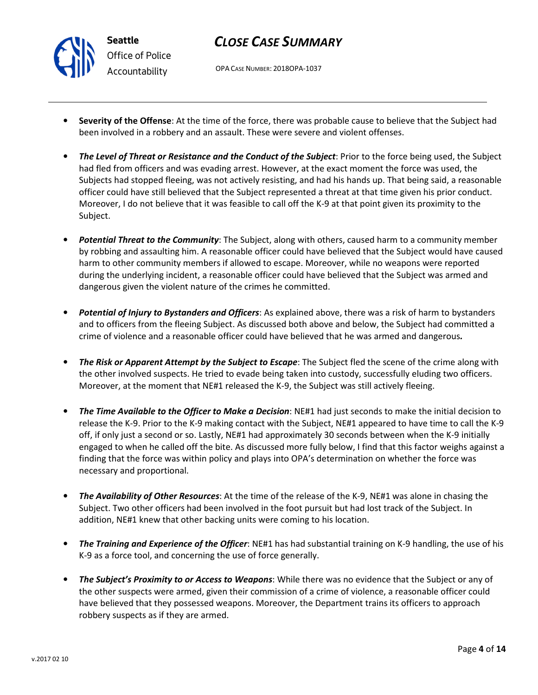## CLOSE CASE SUMMARY

OPA CASE NUMBER: 2018OPA-1037

- Severity of the Offense: At the time of the force, there was probable cause to believe that the Subject had been involved in a robbery and an assault. These were severe and violent offenses.
- The Level of Threat or Resistance and the Conduct of the Subject: Prior to the force being used, the Subject had fled from officers and was evading arrest. However, at the exact moment the force was used, the Subjects had stopped fleeing, was not actively resisting, and had his hands up. That being said, a reasonable officer could have still believed that the Subject represented a threat at that time given his prior conduct. Moreover, I do not believe that it was feasible to call off the K-9 at that point given its proximity to the Subject.
- **Potential Threat to the Community**: The Subject, along with others, caused harm to a community member by robbing and assaulting him. A reasonable officer could have believed that the Subject would have caused harm to other community members if allowed to escape. Moreover, while no weapons were reported during the underlying incident, a reasonable officer could have believed that the Subject was armed and dangerous given the violent nature of the crimes he committed.
- Potential of Injury to Bystanders and Officers: As explained above, there was a risk of harm to bystanders and to officers from the fleeing Subject. As discussed both above and below, the Subject had committed a crime of violence and a reasonable officer could have believed that he was armed and dangerous.
- The Risk or Apparent Attempt by the Subject to Escape: The Subject fled the scene of the crime along with the other involved suspects. He tried to evade being taken into custody, successfully eluding two officers. Moreover, at the moment that NE#1 released the K-9, the Subject was still actively fleeing.
- The Time Available to the Officer to Make a Decision: NE#1 had just seconds to make the initial decision to release the K-9. Prior to the K-9 making contact with the Subject, NE#1 appeared to have time to call the K-9 off, if only just a second or so. Lastly, NE#1 had approximately 30 seconds between when the K-9 initially engaged to when he called off the bite. As discussed more fully below, I find that this factor weighs against a finding that the force was within policy and plays into OPA's determination on whether the force was necessary and proportional.
- The Availability of Other Resources: At the time of the release of the K-9, NE#1 was alone in chasing the Subject. Two other officers had been involved in the foot pursuit but had lost track of the Subject. In addition, NE#1 knew that other backing units were coming to his location.
- The Training and Experience of the Officer: NE#1 has had substantial training on K-9 handling, the use of his K-9 as a force tool, and concerning the use of force generally.
- The Subject's Proximity to or Access to Weapons: While there was no evidence that the Subject or any of the other suspects were armed, given their commission of a crime of violence, a reasonable officer could have believed that they possessed weapons. Moreover, the Department trains its officers to approach robbery suspects as if they are armed.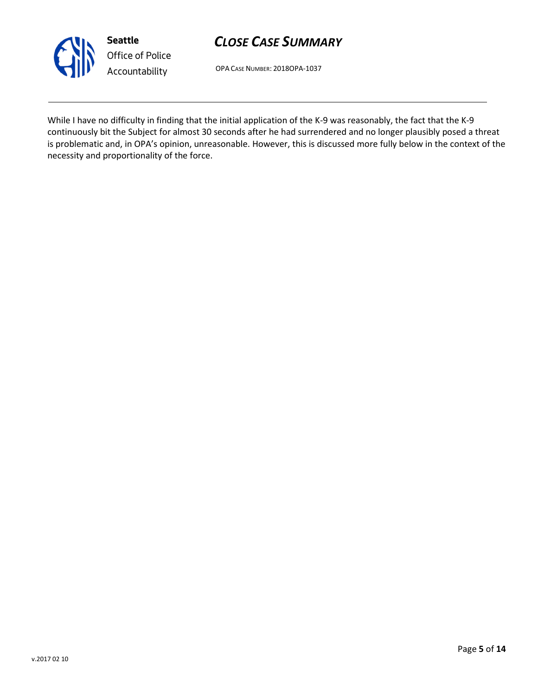

# CLOSE CASE SUMMARY

OPA CASE NUMBER: 2018OPA-1037

While I have no difficulty in finding that the initial application of the K-9 was reasonably, the fact that the K-9 continuously bit the Subject for almost 30 seconds after he had surrendered and no longer plausibly posed a threat is problematic and, in OPA's opinion, unreasonable. However, this is discussed more fully below in the context of the necessity and proportionality of the force.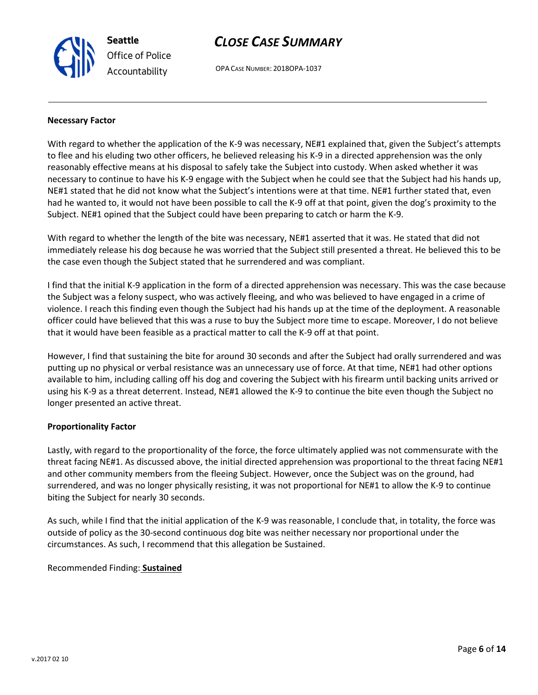# CLOSE CASE SUMMARY

OPA CASE NUMBER: 2018OPA-1037

### Necessary Factor

With regard to whether the application of the K-9 was necessary, NE#1 explained that, given the Subject's attempts to flee and his eluding two other officers, he believed releasing his K-9 in a directed apprehension was the only reasonably effective means at his disposal to safely take the Subject into custody. When asked whether it was necessary to continue to have his K-9 engage with the Subject when he could see that the Subject had his hands up, NE#1 stated that he did not know what the Subject's intentions were at that time. NE#1 further stated that, even had he wanted to, it would not have been possible to call the K-9 off at that point, given the dog's proximity to the Subject. NE#1 opined that the Subject could have been preparing to catch or harm the K-9.

With regard to whether the length of the bite was necessary, NE#1 asserted that it was. He stated that did not immediately release his dog because he was worried that the Subject still presented a threat. He believed this to be the case even though the Subject stated that he surrendered and was compliant.

I find that the initial K-9 application in the form of a directed apprehension was necessary. This was the case because the Subject was a felony suspect, who was actively fleeing, and who was believed to have engaged in a crime of violence. I reach this finding even though the Subject had his hands up at the time of the deployment. A reasonable officer could have believed that this was a ruse to buy the Subject more time to escape. Moreover, I do not believe that it would have been feasible as a practical matter to call the K-9 off at that point.

However, I find that sustaining the bite for around 30 seconds and after the Subject had orally surrendered and was putting up no physical or verbal resistance was an unnecessary use of force. At that time, NE#1 had other options available to him, including calling off his dog and covering the Subject with his firearm until backing units arrived or using his K-9 as a threat deterrent. Instead, NE#1 allowed the K-9 to continue the bite even though the Subject no longer presented an active threat.

### Proportionality Factor

Lastly, with regard to the proportionality of the force, the force ultimately applied was not commensurate with the threat facing NE#1. As discussed above, the initial directed apprehension was proportional to the threat facing NE#1 and other community members from the fleeing Subject. However, once the Subject was on the ground, had surrendered, and was no longer physically resisting, it was not proportional for NE#1 to allow the K-9 to continue biting the Subject for nearly 30 seconds.

As such, while I find that the initial application of the K-9 was reasonable, I conclude that, in totality, the force was outside of policy as the 30-second continuous dog bite was neither necessary nor proportional under the circumstances. As such, I recommend that this allegation be Sustained.

## Recommended Finding: Sustained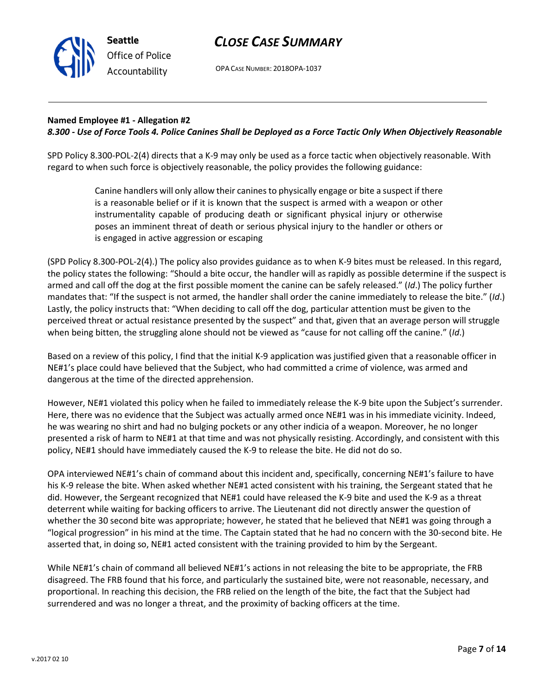

OPA CASE NUMBER: 2018OPA-1037

### Named Employee #1 - Allegation #2 8.300 - Use of Force Tools 4. Police Canines Shall be Deployed as a Force Tactic Only When Objectively Reasonable

SPD Policy 8.300-POL-2(4) directs that a K-9 may only be used as a force tactic when objectively reasonable. With regard to when such force is objectively reasonable, the policy provides the following guidance:

> Canine handlers will only allow their canines to physically engage or bite a suspect if there is a reasonable belief or if it is known that the suspect is armed with a weapon or other instrumentality capable of producing death or significant physical injury or otherwise poses an imminent threat of death or serious physical injury to the handler or others or is engaged in active aggression or escaping

(SPD Policy 8.300-POL-2(4).) The policy also provides guidance as to when K-9 bites must be released. In this regard, the policy states the following: "Should a bite occur, the handler will as rapidly as possible determine if the suspect is armed and call off the dog at the first possible moment the canine can be safely released." (Id.) The policy further mandates that: "If the suspect is not armed, the handler shall order the canine immediately to release the bite." (Id.) Lastly, the policy instructs that: "When deciding to call off the dog, particular attention must be given to the perceived threat or actual resistance presented by the suspect" and that, given that an average person will struggle when being bitten, the struggling alone should not be viewed as "cause for not calling off the canine." (Id.)

Based on a review of this policy, I find that the initial K-9 application was justified given that a reasonable officer in NE#1's place could have believed that the Subject, who had committed a crime of violence, was armed and dangerous at the time of the directed apprehension.

However, NE#1 violated this policy when he failed to immediately release the K-9 bite upon the Subject's surrender. Here, there was no evidence that the Subject was actually armed once NE#1 was in his immediate vicinity. Indeed, he was wearing no shirt and had no bulging pockets or any other indicia of a weapon. Moreover, he no longer presented a risk of harm to NE#1 at that time and was not physically resisting. Accordingly, and consistent with this policy, NE#1 should have immediately caused the K-9 to release the bite. He did not do so.

OPA interviewed NE#1's chain of command about this incident and, specifically, concerning NE#1's failure to have his K-9 release the bite. When asked whether NE#1 acted consistent with his training, the Sergeant stated that he did. However, the Sergeant recognized that NE#1 could have released the K-9 bite and used the K-9 as a threat deterrent while waiting for backing officers to arrive. The Lieutenant did not directly answer the question of whether the 30 second bite was appropriate; however, he stated that he believed that NE#1 was going through a "logical progression" in his mind at the time. The Captain stated that he had no concern with the 30-second bite. He asserted that, in doing so, NE#1 acted consistent with the training provided to him by the Sergeant.

While NE#1's chain of command all believed NE#1's actions in not releasing the bite to be appropriate, the FRB disagreed. The FRB found that his force, and particularly the sustained bite, were not reasonable, necessary, and proportional. In reaching this decision, the FRB relied on the length of the bite, the fact that the Subject had surrendered and was no longer a threat, and the proximity of backing officers at the time.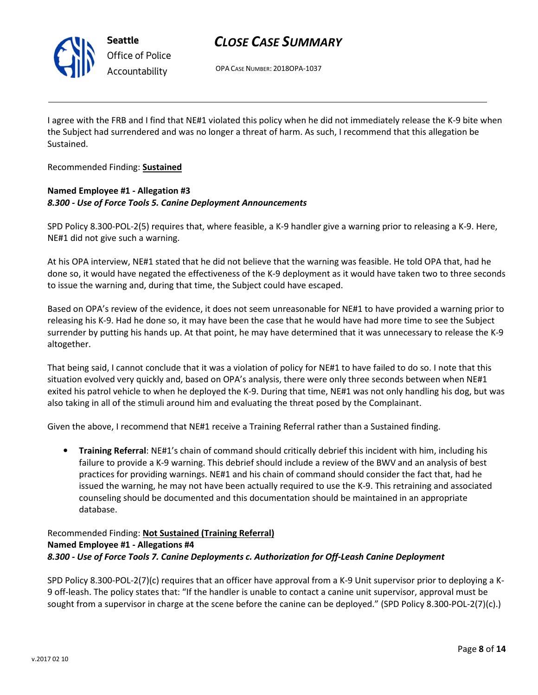

## CLOSE CASE SUMMARY

OPA CASE NUMBER: 2018OPA-1037

I agree with the FRB and I find that NE#1 violated this policy when he did not immediately release the K-9 bite when the Subject had surrendered and was no longer a threat of harm. As such, I recommend that this allegation be Sustained.

Recommended Finding: Sustained

### Named Employee #1 - Allegation #3 8.300 - Use of Force Tools 5. Canine Deployment Announcements

SPD Policy 8.300-POL-2(5) requires that, where feasible, a K-9 handler give a warning prior to releasing a K-9. Here, NE#1 did not give such a warning.

At his OPA interview, NE#1 stated that he did not believe that the warning was feasible. He told OPA that, had he done so, it would have negated the effectiveness of the K-9 deployment as it would have taken two to three seconds to issue the warning and, during that time, the Subject could have escaped.

Based on OPA's review of the evidence, it does not seem unreasonable for NE#1 to have provided a warning prior to releasing his K-9. Had he done so, it may have been the case that he would have had more time to see the Subject surrender by putting his hands up. At that point, he may have determined that it was unnecessary to release the K-9 altogether.

That being said, I cannot conclude that it was a violation of policy for NE#1 to have failed to do so. I note that this situation evolved very quickly and, based on OPA's analysis, there were only three seconds between when NE#1 exited his patrol vehicle to when he deployed the K-9. During that time, NE#1 was not only handling his dog, but was also taking in all of the stimuli around him and evaluating the threat posed by the Complainant.

Given the above, I recommend that NE#1 receive a Training Referral rather than a Sustained finding.

• Training Referral: NE#1's chain of command should critically debrief this incident with him, including his failure to provide a K-9 warning. This debrief should include a review of the BWV and an analysis of best practices for providing warnings. NE#1 and his chain of command should consider the fact that, had he issued the warning, he may not have been actually required to use the K-9. This retraining and associated counseling should be documented and this documentation should be maintained in an appropriate database.

### Recommended Finding: Not Sustained (Training Referral) Named Employee #1 - Allegations #4 8.300 - Use of Force Tools 7. Canine Deployments c. Authorization for Off-Leash Canine Deployment

SPD Policy 8.300-POL-2(7)(c) requires that an officer have approval from a K-9 Unit supervisor prior to deploying a K-9 off-leash. The policy states that: "If the handler is unable to contact a canine unit supervisor, approval must be sought from a supervisor in charge at the scene before the canine can be deployed." (SPD Policy 8.300-POL-2(7)(c).)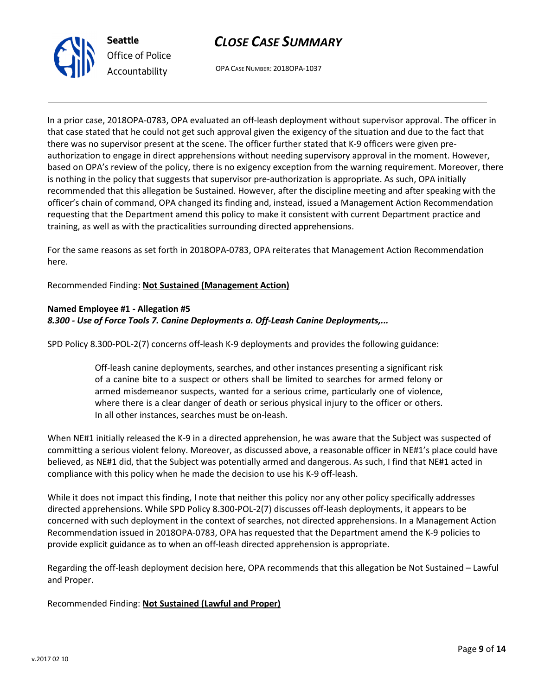



OPA CASE NUMBER: 2018OPA-1037

In a prior case, 2018OPA-0783, OPA evaluated an off-leash deployment without supervisor approval. The officer in that case stated that he could not get such approval given the exigency of the situation and due to the fact that there was no supervisor present at the scene. The officer further stated that K-9 officers were given preauthorization to engage in direct apprehensions without needing supervisory approval in the moment. However, based on OPA's review of the policy, there is no exigency exception from the warning requirement. Moreover, there is nothing in the policy that suggests that supervisor pre-authorization is appropriate. As such, OPA initially recommended that this allegation be Sustained. However, after the discipline meeting and after speaking with the officer's chain of command, OPA changed its finding and, instead, issued a Management Action Recommendation requesting that the Department amend this policy to make it consistent with current Department practice and training, as well as with the practicalities surrounding directed apprehensions.

For the same reasons as set forth in 2018OPA-0783, OPA reiterates that Management Action Recommendation here.

Recommended Finding: Not Sustained (Management Action)

### Named Employee #1 - Allegation #5

### 8.300 - Use of Force Tools 7. Canine Deployments a. Off-Leash Canine Deployments,...

SPD Policy 8.300-POL-2(7) concerns off-leash K-9 deployments and provides the following guidance:

Off-leash canine deployments, searches, and other instances presenting a significant risk of a canine bite to a suspect or others shall be limited to searches for armed felony or armed misdemeanor suspects, wanted for a serious crime, particularly one of violence, where there is a clear danger of death or serious physical injury to the officer or others. In all other instances, searches must be on-leash.

When NE#1 initially released the K-9 in a directed apprehension, he was aware that the Subject was suspected of committing a serious violent felony. Moreover, as discussed above, a reasonable officer in NE#1's place could have believed, as NE#1 did, that the Subject was potentially armed and dangerous. As such, I find that NE#1 acted in compliance with this policy when he made the decision to use his K-9 off-leash.

While it does not impact this finding, I note that neither this policy nor any other policy specifically addresses directed apprehensions. While SPD Policy 8.300-POL-2(7) discusses off-leash deployments, it appears to be concerned with such deployment in the context of searches, not directed apprehensions. In a Management Action Recommendation issued in 2018OPA-0783, OPA has requested that the Department amend the K-9 policies to provide explicit guidance as to when an off-leash directed apprehension is appropriate.

Regarding the off-leash deployment decision here, OPA recommends that this allegation be Not Sustained – Lawful and Proper.

Recommended Finding: Not Sustained (Lawful and Proper)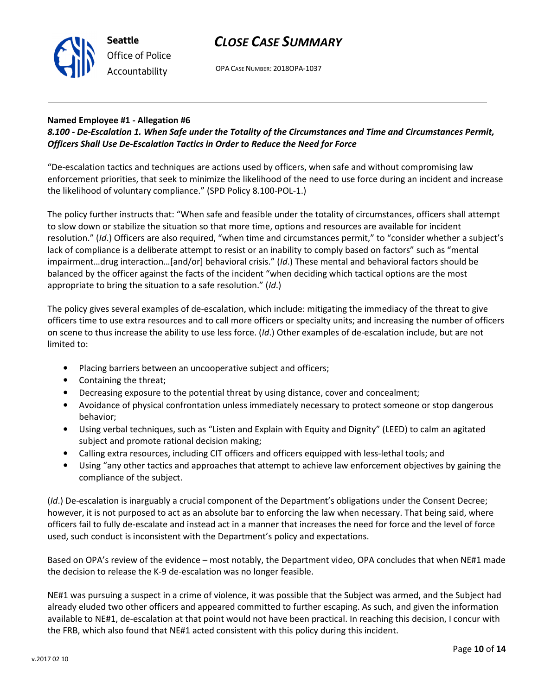

OPA CASE NUMBER: 2018OPA-1037

## Named Employee #1 - Allegation #6

## 8.100 - De-Escalation 1. When Safe under the Totality of the Circumstances and Time and Circumstances Permit, Officers Shall Use De-Escalation Tactics in Order to Reduce the Need for Force

"De-escalation tactics and techniques are actions used by officers, when safe and without compromising law enforcement priorities, that seek to minimize the likelihood of the need to use force during an incident and increase the likelihood of voluntary compliance." (SPD Policy 8.100-POL-1.)

The policy further instructs that: "When safe and feasible under the totality of circumstances, officers shall attempt to slow down or stabilize the situation so that more time, options and resources are available for incident resolution." (Id.) Officers are also required, "when time and circumstances permit," to "consider whether a subject's lack of compliance is a deliberate attempt to resist or an inability to comply based on factors" such as "mental impairment…drug interaction…[and/or] behavioral crisis." (Id.) These mental and behavioral factors should be balanced by the officer against the facts of the incident "when deciding which tactical options are the most appropriate to bring the situation to a safe resolution." (Id.)

The policy gives several examples of de-escalation, which include: mitigating the immediacy of the threat to give officers time to use extra resources and to call more officers or specialty units; and increasing the number of officers on scene to thus increase the ability to use less force. (Id.) Other examples of de-escalation include, but are not limited to:

- Placing barriers between an uncooperative subject and officers;
- Containing the threat;
- Decreasing exposure to the potential threat by using distance, cover and concealment;
- Avoidance of physical confrontation unless immediately necessary to protect someone or stop dangerous behavior;
- Using verbal techniques, such as "Listen and Explain with Equity and Dignity" (LEED) to calm an agitated subject and promote rational decision making;
- Calling extra resources, including CIT officers and officers equipped with less-lethal tools; and
- Using "any other tactics and approaches that attempt to achieve law enforcement objectives by gaining the compliance of the subject.

(Id.) De-escalation is inarguably a crucial component of the Department's obligations under the Consent Decree; however, it is not purposed to act as an absolute bar to enforcing the law when necessary. That being said, where officers fail to fully de-escalate and instead act in a manner that increases the need for force and the level of force used, such conduct is inconsistent with the Department's policy and expectations.

Based on OPA's review of the evidence – most notably, the Department video, OPA concludes that when NE#1 made the decision to release the K-9 de-escalation was no longer feasible.

NE#1 was pursuing a suspect in a crime of violence, it was possible that the Subject was armed, and the Subject had already eluded two other officers and appeared committed to further escaping. As such, and given the information available to NE#1, de-escalation at that point would not have been practical. In reaching this decision, I concur with the FRB, which also found that NE#1 acted consistent with this policy during this incident.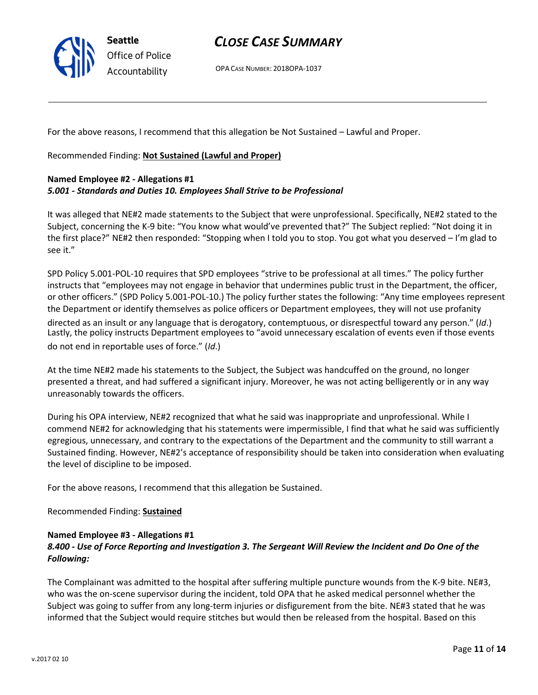

OPA CASE NUMBER: 2018OPA-1037

For the above reasons, I recommend that this allegation be Not Sustained – Lawful and Proper.

Recommended Finding: Not Sustained (Lawful and Proper)

### Named Employee #2 - Allegations #1 5.001 - Standards and Duties 10. Employees Shall Strive to be Professional

It was alleged that NE#2 made statements to the Subject that were unprofessional. Specifically, NE#2 stated to the Subject, concerning the K-9 bite: "You know what would've prevented that?" The Subject replied: "Not doing it in the first place?" NE#2 then responded: "Stopping when I told you to stop. You got what you deserved – I'm glad to see it."

SPD Policy 5.001-POL-10 requires that SPD employees "strive to be professional at all times." The policy further instructs that "employees may not engage in behavior that undermines public trust in the Department, the officer, or other officers." (SPD Policy 5.001-POL-10.) The policy further states the following: "Any time employees represent the Department or identify themselves as police officers or Department employees, they will not use profanity

directed as an insult or any language that is derogatory, contemptuous, or disrespectful toward any person." (Id.) Lastly, the policy instructs Department employees to "avoid unnecessary escalation of events even if those events do not end in reportable uses of force." (Id.)

At the time NE#2 made his statements to the Subject, the Subject was handcuffed on the ground, no longer presented a threat, and had suffered a significant injury. Moreover, he was not acting belligerently or in any way unreasonably towards the officers.

During his OPA interview, NE#2 recognized that what he said was inappropriate and unprofessional. While I commend NE#2 for acknowledging that his statements were impermissible, I find that what he said was sufficiently egregious, unnecessary, and contrary to the expectations of the Department and the community to still warrant a Sustained finding. However, NE#2's acceptance of responsibility should be taken into consideration when evaluating the level of discipline to be imposed.

For the above reasons, I recommend that this allegation be Sustained.

### Recommended Finding: Sustained

### Named Employee #3 - Allegations #1

## 8.400 - Use of Force Reporting and Investigation 3. The Sergeant Will Review the Incident and Do One of the Following:

The Complainant was admitted to the hospital after suffering multiple puncture wounds from the K-9 bite. NE#3, who was the on-scene supervisor during the incident, told OPA that he asked medical personnel whether the Subject was going to suffer from any long-term injuries or disfigurement from the bite. NE#3 stated that he was informed that the Subject would require stitches but would then be released from the hospital. Based on this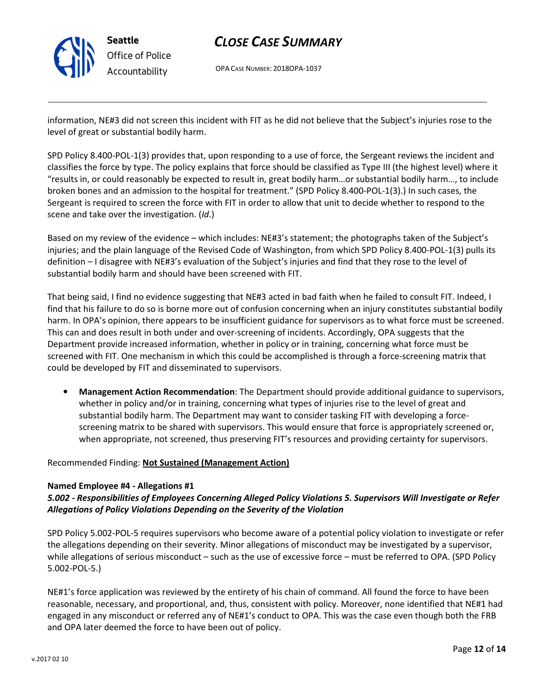

OPA CASE NUMBER: 2018OPA-1037

information, NE#3 did not screen this incident with FIT as he did not believe that the Subject's injuries rose to the level of great or substantial bodily harm.

SPD Policy 8.400-POL-1(3) provides that, upon responding to a use of force, the Sergeant reviews the incident and classifies the force by type. The policy explains that force should be classified as Type III (the highest level) where it "results in, or could reasonably be expected to result in, great bodily harm…or substantial bodily harm…, to include broken bones and an admission to the hospital for treatment." (SPD Policy 8.400-POL-1(3).) In such cases, the Sergeant is required to screen the force with FIT in order to allow that unit to decide whether to respond to the scene and take over the investigation. (Id.)

Based on my review of the evidence – which includes: NE#3's statement; the photographs taken of the Subject's injuries; and the plain language of the Revised Code of Washington, from which SPD Policy 8.400-POL-1(3) pulls its definition – I disagree with NE#3's evaluation of the Subject's injuries and find that they rose to the level of substantial bodily harm and should have been screened with FIT.

That being said, I find no evidence suggesting that NE#3 acted in bad faith when he failed to consult FIT. Indeed, I find that his failure to do so is borne more out of confusion concerning when an injury constitutes substantial bodily harm. In OPA's opinion, there appears to be insufficient guidance for supervisors as to what force must be screened. This can and does result in both under and over-screening of incidents. Accordingly, OPA suggests that the Department provide increased information, whether in policy or in training, concerning what force must be screened with FIT. One mechanism in which this could be accomplished is through a force-screening matrix that could be developed by FIT and disseminated to supervisors.

• Management Action Recommendation: The Department should provide additional guidance to supervisors, whether in policy and/or in training, concerning what types of injuries rise to the level of great and substantial bodily harm. The Department may want to consider tasking FIT with developing a forcescreening matrix to be shared with supervisors. This would ensure that force is appropriately screened or, when appropriate, not screened, thus preserving FIT's resources and providing certainty for supervisors.

## Recommended Finding: Not Sustained (Management Action)

### Named Employee #4 - Allegations #1

## 5.002 - Responsibilities of Employees Concerning Alleged Policy Violations 5. Supervisors Will Investigate or Refer Allegations of Policy Violations Depending on the Severity of the Violation

SPD Policy 5.002-POL-5 requires supervisors who become aware of a potential policy violation to investigate or refer the allegations depending on their severity. Minor allegations of misconduct may be investigated by a supervisor, while allegations of serious misconduct – such as the use of excessive force – must be referred to OPA. (SPD Policy 5.002-POL-5.)

NE#1's force application was reviewed by the entirety of his chain of command. All found the force to have been reasonable, necessary, and proportional, and, thus, consistent with policy. Moreover, none identified that NE#1 had engaged in any misconduct or referred any of NE#1's conduct to OPA. This was the case even though both the FRB and OPA later deemed the force to have been out of policy.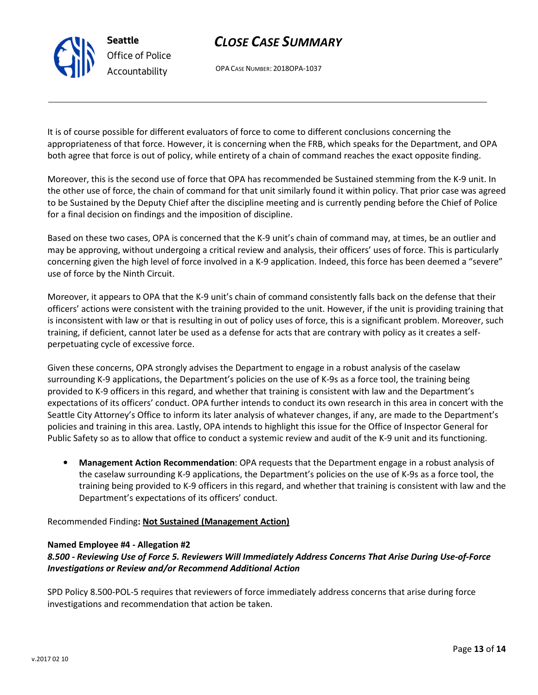OPA CASE NUMBER: 2018OPA-1037

It is of course possible for different evaluators of force to come to different conclusions concerning the appropriateness of that force. However, it is concerning when the FRB, which speaks for the Department, and OPA both agree that force is out of policy, while entirety of a chain of command reaches the exact opposite finding.

Moreover, this is the second use of force that OPA has recommended be Sustained stemming from the K-9 unit. In the other use of force, the chain of command for that unit similarly found it within policy. That prior case was agreed to be Sustained by the Deputy Chief after the discipline meeting and is currently pending before the Chief of Police for a final decision on findings and the imposition of discipline.

Based on these two cases, OPA is concerned that the K-9 unit's chain of command may, at times, be an outlier and may be approving, without undergoing a critical review and analysis, their officers' uses of force. This is particularly concerning given the high level of force involved in a K-9 application. Indeed, this force has been deemed a "severe" use of force by the Ninth Circuit.

Moreover, it appears to OPA that the K-9 unit's chain of command consistently falls back on the defense that their officers' actions were consistent with the training provided to the unit. However, if the unit is providing training that is inconsistent with law or that is resulting in out of policy uses of force, this is a significant problem. Moreover, such training, if deficient, cannot later be used as a defense for acts that are contrary with policy as it creates a selfperpetuating cycle of excessive force.

Given these concerns, OPA strongly advises the Department to engage in a robust analysis of the caselaw surrounding K-9 applications, the Department's policies on the use of K-9s as a force tool, the training being provided to K-9 officers in this regard, and whether that training is consistent with law and the Department's expectations of its officers' conduct. OPA further intends to conduct its own research in this area in concert with the Seattle City Attorney's Office to inform its later analysis of whatever changes, if any, are made to the Department's policies and training in this area. Lastly, OPA intends to highlight this issue for the Office of Inspector General for Public Safety so as to allow that office to conduct a systemic review and audit of the K-9 unit and its functioning.

• Management Action Recommendation: OPA requests that the Department engage in a robust analysis of the caselaw surrounding K-9 applications, the Department's policies on the use of K-9s as a force tool, the training being provided to K-9 officers in this regard, and whether that training is consistent with law and the Department's expectations of its officers' conduct.

## Recommended Finding: Not Sustained (Management Action)

## Named Employee #4 - Allegation #2

## 8.500 - Reviewing Use of Force 5. Reviewers Will Immediately Address Concerns That Arise During Use-of-Force Investigations or Review and/or Recommend Additional Action

SPD Policy 8.500-POL-5 requires that reviewers of force immediately address concerns that arise during force investigations and recommendation that action be taken.



Seattle Office of Police Accountability